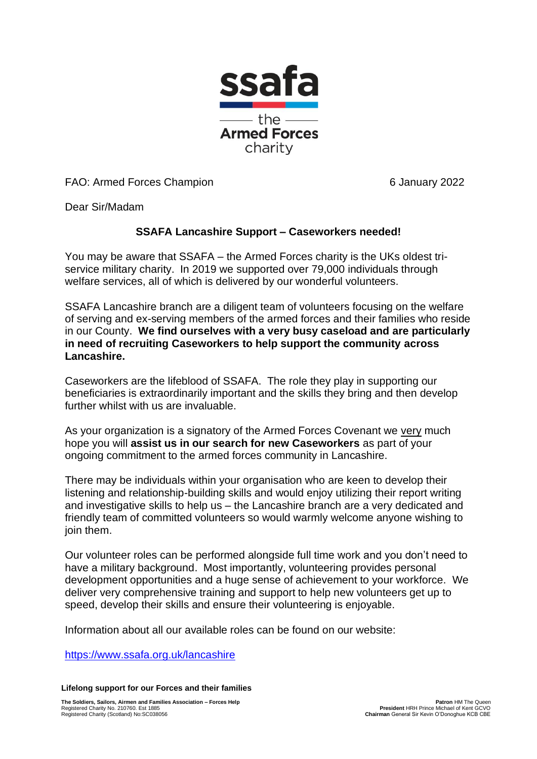

FAO: Armed Forces Champion 6 January 2022

Dear Sir/Madam

## **SSAFA Lancashire Support – Caseworkers needed!**

You may be aware that SSAFA – the Armed Forces charity is the UKs oldest triservice military charity. In 2019 we supported over 79,000 individuals through welfare services, all of which is delivered by our wonderful volunteers.

SSAFA Lancashire branch are a diligent team of volunteers focusing on the welfare of serving and ex-serving members of the armed forces and their families who reside in our County. **We find ourselves with a very busy caseload and are particularly in need of recruiting Caseworkers to help support the community across Lancashire.**

Caseworkers are the lifeblood of SSAFA. The role they play in supporting our beneficiaries is extraordinarily important and the skills they bring and then develop further whilst with us are invaluable.

As your organization is a signatory of the Armed Forces Covenant we very much hope you will **assist us in our search for new Caseworkers** as part of your ongoing commitment to the armed forces community in Lancashire.

There may be individuals within your organisation who are keen to develop their listening and relationship-building skills and would enjoy utilizing their report writing and investigative skills to help us – the Lancashire branch are a very dedicated and friendly team of committed volunteers so would warmly welcome anyone wishing to join them.

Our volunteer roles can be performed alongside full time work and you don't need to have a military background. Most importantly, volunteering provides personal development opportunities and a huge sense of achievement to your workforce. We deliver very comprehensive training and support to help new volunteers get up to speed, develop their skills and ensure their volunteering is enjoyable.

Information about all our available roles can be found on our website:

<https://www.ssafa.org.uk/lancashire>

**Lifelong support for our Forces and their families**